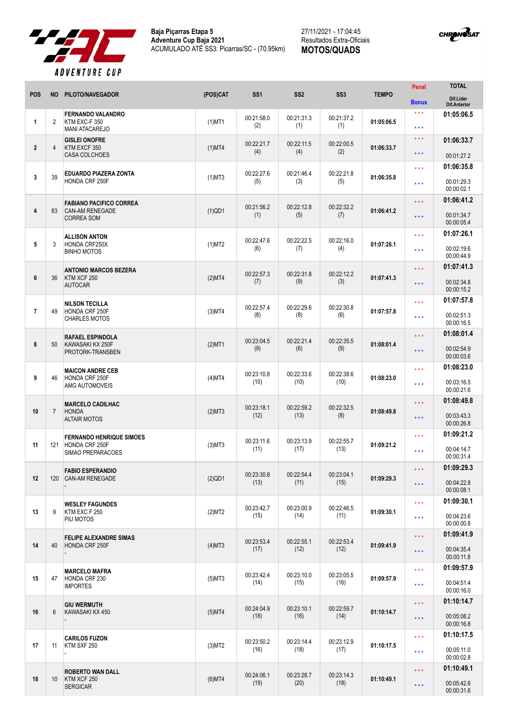



|                |                 |                                                                               |              |                    |                    |                    |              | Penal               | <b>TOTAL</b>                     |
|----------------|-----------------|-------------------------------------------------------------------------------|--------------|--------------------|--------------------|--------------------|--------------|---------------------|----------------------------------|
| <b>POS</b>     | <b>NO</b>       | PILOTO/NAVEGADOR                                                              | (POS)CAT     | SS <sub>1</sub>    | SS <sub>2</sub>    | SS <sub>3</sub>    | <b>TEMPO</b> | <b>Bonus</b>        | Dif.Lider<br><b>Dif.Anterior</b> |
| $\mathbf{1}$   | $\overline{2}$  | <b>FERNANDO VALANDRO</b><br>KTM EXC-F 350<br><b>MANI ATACAREJO</b>            | $(1)$ MT1    | 00:21:58.0<br>(2)  | 00:21:31.3<br>(1)  | 00:21:37.2<br>(1)  | 01:05:06.5   | * * *<br>* * *      | 01:05:06.5                       |
| $\mathbf{2}$   | 4               | <b>GISLEI ONOFRE</b><br>KTM EXCF 350<br><b>CASA COLCHOES</b>                  | $(1)$ MT4    | 00:22:21.7<br>(4)  | 00:22:11.5<br>(4)  | 00:22:00.5<br>(2)  | 01:06:33.7   | * * *<br>* * *      | 01:06:33.7<br>00:01:27.2         |
|                |                 |                                                                               |              |                    |                    |                    |              | * * *               | 01:06:35.8                       |
| $\mathbf{3}$   | 39              | <b>EDUARDO PIAZERA ZONTA</b><br>HONDA CRF 250F                                | $(1)$ MT3    | 00:22:27.6<br>(5)  | 00:21:46.4<br>(3)  | 00:22:21.8<br>(5)  | 01:06:35.8   | * * *               | 00:01:29.3<br>00:00:02.1         |
|                |                 | <b>FABIANO PACIFICO CORREA</b><br><b>CAN-AM RENEGADE</b><br><b>CORREA SOM</b> | $(1)$ QD1    | 00:21:56.2<br>(1)  | 00:22:12.8<br>(5)  | 00:22:32.2         | 01:06:41.2   | * * *               | 01:06:41.2                       |
| $\overline{4}$ | 83              |                                                                               |              |                    |                    | (7)                |              | * * *               | 00:01:34.7<br>00:00:05.4         |
|                |                 | <b>ALLISON ANTON</b>                                                          |              | 00:22:47.6         | 00:22:22.5         | 00:22:16.0         |              | * * *               | 01:07:26.1                       |
| 5              | 3               | HONDA CRF250X<br><b>BINHO MOTOS</b>                                           | $(1)$ MT2    | (6)                | (7)                | (4)                | 01:07:26.1   | * * *               | 00:02:19.6<br>00:00:44.9         |
| 6              | 36              | <b>ANTONIO MARCOS BEZERA</b>                                                  |              | 00:22:57.3         | 00:22:31.8         | 00:22:12.2         | 01:07:41.3   | * * *               | 01:07:41.3                       |
|                |                 | KTM XCF 250<br><b>AUTOCAR</b>                                                 | (2)MT4       | (7)                | (9)                | (3)                |              | * * *               | 00:02:34.8<br>00:00:15.2         |
|                |                 | <b>NILSON TECILLA</b>                                                         |              |                    | 00:22:29.6         |                    |              | * * *               | 01:07:57.8                       |
| $\overline{7}$ | 49              | HONDA CRF 250F<br><b>CHARLES MOTOS</b>                                        | $(3)$ MT4    | 00:22:57.4<br>(8)  | (8)                | 00:22:30.8<br>(6)  | 01:07:57.8   | * * *               | 00:02:51.3<br>00:00:16.5         |
|                |                 | <b>RAFAEL ESPINDOLA</b>                                                       |              | 00:23:04.5         | 00:22:21.4         | 00:22:35.5         |              | * * *               | 01:08:01.4                       |
| 8              | 50              | KAWASAKI KX 250F<br>PROTORK-TRANSBEN                                          | $(2)$ MT1    | (9)                | (6)                | (9)                | 01:08:01.4   | * * *               | 00:02:54.9<br>00:00:03.6         |
| 9              | 46              | <b>MAICON ANDRE CEB</b><br>HONDA CRF 250F<br>AMG AUTOMOVEIS                   |              | 00:23:10.8<br>(10) | 00:22:33.6         | 00:22:38.6<br>(10) | 01:08:23.0   | * * *               | 01:08:23.0                       |
|                |                 |                                                                               | (4)MT4       |                    | (10)               |                    |              | * * *               | 00:03:16.5<br>00:00:21.6         |
|                |                 | <b>MARCELO CADILHAC</b>                                                       |              |                    |                    |                    |              | * * *               | 01:08:49.8                       |
| 10             | $\overline{7}$  | <b>HONDA</b><br><b>ALTAIR MOTOS</b>                                           | (2)MT3       | 00:23:18.1<br>(12) | 00:22:59.2<br>(13) | 00:22:32.5<br>(8)  | 01:08:49.8   | * * *               | 00:03:43.3<br>00:00:26.8         |
|                |                 | <b>FERNANDO HENRIQUE SIMOES</b>                                               |              | 00:23:11.6         | 00:23:13.9         | 00:22:55.7         |              | * * *               | 01:09:21.2                       |
| 11             | 121             | <b>HONDA CRF 250F</b><br>SIMAO PREPARACOES                                    | $(3)$ MT $3$ | (11)               | (17)               | (13)               | 01:09:21.2   | * * *               | 00:04:14.7<br>00:00:31.4         |
|                |                 | <b>FABIO ESPERANDIO</b>                                                       |              | 00:23:30.8         | 00:22:54.4         | 00:23:04.1         |              | $\star \star \star$ | 01:09:29.3                       |
| 12             | 120             | <b>CAN-AM RENEGADE</b>                                                        | $(2)$ QD1    | (13)               | (11)               | (15)               | 01:09:29.3   | ***                 | 00:04:22.8<br>00:00:08.1         |
|                |                 | <b>WESLEY FAGUNDES</b>                                                        | (2)MT2       | 00:23:42.7         | 00:23:00.9         | 00:22:46.5         | 01:09:30.1   | * * *               | 01:09:30.1                       |
| 13             | 9               | KTM EXC F 250<br>PIU MOTOS                                                    |              | (15)               | (14)               | (11)               |              | ***                 | 00:04:23.6<br>00:00:00.8         |
| 14             | 40              | <b>FELIPE ALEXANDRE SIMAS</b><br>HONDA CRF 250F                               | $(4)$ MT3    | 00:23:53.4<br>(17) | 00:22:55.1<br>(12) | 00:22:53.4<br>(12) | 01:09:41.9   | $\star \star \star$ | 01:09:41.9                       |
|                |                 |                                                                               |              |                    |                    |                    |              | * * *               | 00:04:35.4<br>00:00:11.8         |
|                |                 | <b>MARCELO MAFRA</b>                                                          |              | 00:23:42.4         | 00:23:10.0         | 00:23:05.5         |              | * * *               | 01:09:57.9                       |
| 15             | 47              | HONDA CRF 230<br><b>IMPORTES</b>                                              | $(5)$ MT3    | (14)               | (15)               | (16)               | 01:09:57.9   | * * *               | 00:04:51.4<br>00:00:16.0         |
|                |                 | <b>GIU WERMUTH</b><br>KAWASAKI KX 450                                         | $(5)$ MT4    | 00:24:04.9<br>(18) | 00:23:10.1         | 00:22:59.7         | 01:10:14.7   | * * *               | 01:10:14.7                       |
| 16             | 6               |                                                                               |              |                    | (16)               | (14)               |              | $\star \star \star$ | 00:05:08.2<br>00:00:16.8         |
|                |                 | <b>CARILOS FUZON</b><br>KTM SXF 250                                           | $(3)$ MT2    | 00:23:50.2<br>(16) | 00:23:14.4<br>(18) | 00:23:12.9<br>(17) | 01:10:17.5   | * * *               | 01:10:17.5                       |
| 17             | 11              |                                                                               |              |                    |                    |                    |              | * * *               | 00:05:11.0<br>00:00:02.8         |
|                |                 | <b>ROBERTO WAN DALL</b>                                                       |              | 00:24:06.1         | 00:23:28.7         | 00:23:14.3         |              | ***                 | 01:10:49.1                       |
| 18             | 10 <sup>°</sup> | KTM XCF 250<br><b>SERGICAR</b>                                                | $(6)$ MT4    | (19)               | (20)               | (18)               | 01:10:49.1   | $***$               | 00:05:42.6<br>00:00:31.6         |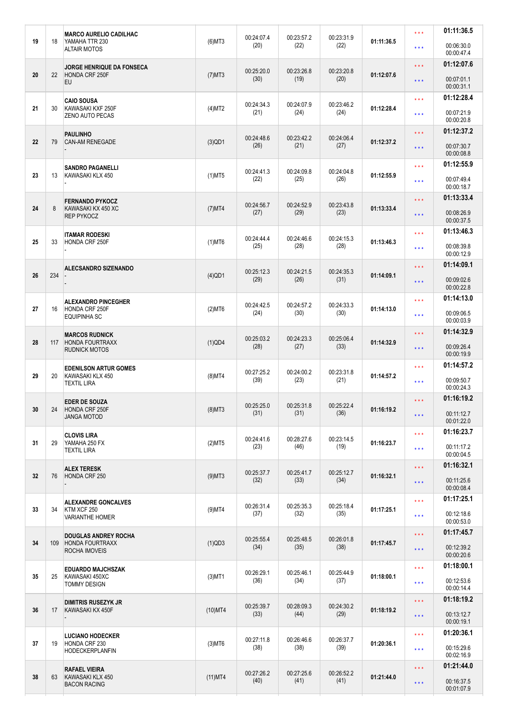|    |     | <b>MARCO AURELIO CADILHAC</b>                                          |            | 00:24:07.4         | 00:23:57.2         | 00:23:31.9         |            | * * *               | 01:11:36.5               |
|----|-----|------------------------------------------------------------------------|------------|--------------------|--------------------|--------------------|------------|---------------------|--------------------------|
| 19 | 18  | YAMAHA TTR 230<br><b>ALTAIR MOTOS</b>                                  | $(6)$ MT3  | (20)               | (22)               | (22)               | 01:11:36.5 | * * *               | 00:06:30.0<br>00:00:47.4 |
|    |     | <b>JORGE HENRIQUE DA FONSECA</b>                                       |            |                    |                    |                    |            | * * *               | 01:12:07.6               |
| 20 | 22  | HONDA CRF 250F<br><b>EU</b>                                            | $(7)$ MT3  | 00:25:20.0<br>(30) | 00:23:26.8<br>(19) | 00:23:20.8<br>(20) | 01:12:07.6 | * * *               | 00:07:01.1<br>00:00:31.1 |
|    |     | <b>CAIO SOUSA</b>                                                      |            | 00:24:34.3         | 00:24:07.9         | 00:23:46.2         |            | * * *               | 01:12:28.4               |
| 21 | 30  | KAWASAKI KXF 250F<br>ZENO AUTO PECAS                                   | (4)MT2     | (21)               | (24)               | (24)               | 01:12:28.4 | * * *               | 00:07:21.9<br>00:00:20.8 |
|    |     | <b>PAULINHO</b>                                                        |            | 00:24:48.6         | 00:23:42.2         | 00:24:06.4         |            | * * *               | 01:12:37.2               |
| 22 | 79  | <b>CAN-AM RENEGADE</b>                                                 | $(3)$ QD1  | (26)               | (21)               | (27)               | 01:12:37.2 | $\star \star \star$ | 00:07:30.7<br>00:00:08.8 |
| 23 | 13  | <b>SANDRO PAGANELLI</b><br>KAWASAKI KLX 450                            | $(1)$ MT5  | 00:24:41.3         | 00:24:09.8         | 00:24:04.8         | 01:12:55.9 | * * *               | 01:12:55.9               |
|    |     |                                                                        |            | (22)               | (25)               | (26)               |            | ***                 | 00:07:49.4<br>00:00:18.7 |
| 24 | 8   | <b>FERNANDO PYKOCZ</b>                                                 | $(7)$ MT4  | 00:24:56.7         | 00:24:52.9         | 00:23:43.8         | 01:13:33.4 | * * *               | 01:13:33.4               |
|    |     | KAWASAKI KX 450 XC<br><b>REP PYKOCZ</b>                                |            | (27)               | (29)               | (23)               |            | $\star \star \star$ | 00:08:26.9<br>00:00:37.5 |
|    |     | ITAMAR RODESKI                                                         |            | 00:24:44.4         | 00:24:46.6         | 00:24:15.3         |            | * * *               | 01:13:46.3               |
| 25 | 33  | HONDA CRF 250F                                                         | $(1)$ MT6  | (25)               | (28)               | (28)               | 01:13:46.3 | * * *               | 00:08:39.8<br>00:00:12.9 |
|    |     | <b>ALECSANDRO SIZENANDO</b>                                            |            |                    |                    |                    |            | * * *               | 01:14:09.1               |
| 26 | 234 |                                                                        | $(4)$ QD1  | 00:25:12.3<br>(29) | 00:24:21.5<br>(26) | 00:24:35.3<br>(31) | 01:14:09.1 | $\star \star \star$ | 00:09:02.6<br>00:00:22.8 |
|    |     | <b>ALEXANDRO PINCEGHER</b>                                             |            | 00:24:42.5         | 00:24:57.2         | 00:24:33.3         |            | * * *               | 01:14:13.0               |
| 27 | 16  | HONDA CRF 250F<br><b>EQUIPINHA SC</b>                                  | $(2)$ MT6  | (24)               | (30)               | (30)               | 01:14:13.0 | * * *               | 00:09:06.5<br>00:00:03.9 |
|    |     | <b>MARCOS RUDNICK</b><br><b>HONDA FOURTRAXX</b>                        | (1)QD4     | 00:25:03.2         | 00:24:23.3         | 00:25:06.4         | 01:14:32.9 | * * *               | 01:14:32.9               |
| 28 | 117 | <b>RUDNICK MOTOS</b>                                                   |            | (28)               | (27)               | (33)               |            | * * *               | 00:09:26.4<br>00:00:19.9 |
| 29 | 20  | <b>EDENILSON ARTUR GOMES</b><br>KAWASAKI KLX 450<br><b>TEXTIL LIRA</b> |            | 00:27:25.2         | 00:24:00.2         | 00:23:31.8<br>(21) | 01:14:57.2 | * * *               | 01:14:57.2               |
|    |     |                                                                        | $(8)$ MT4  | (39)               | (23)               |                    |            | ***                 | 00:09:50.7<br>00:00:24.3 |
|    |     | <b>EDER DE SOUZA</b>                                                   |            |                    |                    |                    |            | $\star \star \star$ | 01:16:19.2               |
| 30 | 24  | HONDA CRF 250F<br><b>JANGA MOTOD</b>                                   | $(8)$ MT3  | 00:25:25.0<br>(31) | 00:25:31.8<br>(31) | 00:25:22.4<br>(36) | 01:16:19.2 | ***                 | 00:11:12.7<br>00:01:22.0 |
|    |     | CLOVIS LIRA                                                            |            | 00:24:41.6         | 00:28:27.6         | 00:23:14.5<br>(19) | 01:16:23.7 | * * *               | 01:16:23.7               |
| 31 | 29  | YAMAHA 250 FX<br><b>TEXTIL LIRA</b>                                    | (2)MT5     | (23)               | (46)               |                    |            | * * *               | 00:11:17.2<br>00:00:04.5 |
|    |     | <b>ALEX TERESK</b>                                                     |            | 00:25:37.7<br>(32) | 00:25:41.7<br>(33) | 00:25:12.7<br>(34) | 01:16:32.1 | $\star \star \star$ | 01:16:32.1               |
| 32 | 76  | HONDA CRF 250                                                          | $(9)$ MT3  |                    |                    |                    |            | $\star \star \star$ | 00:11:25.6               |
|    |     |                                                                        |            |                    |                    |                    |            | * * *               | 00:00:08.4<br>01:17:25.1 |
| 33 | 34  | <b>ALEXANDRE GONCALVES</b><br>KTM XCF 250                              | (9)MT4     | 00:26:31.4<br>(37) | 00:25:35.3<br>(32) | 00:25:18.4<br>(35) | 01:17:25.1 | * * *               | 00:12:18.6               |
|    |     | <b>VARIANTHE HOMER</b>                                                 |            |                    |                    |                    |            |                     | 00:00:53.0               |
| 34 | 109 | <b>DOUGLAS ANDREY ROCHA</b><br><b>HONDA FOURTRAXX</b>                  | (1)QD3     | 00:25:55.4         | 00:25:48.5         | 00:26:01.8         | 01:17:45.7 | * * *               | 01:17:45.7               |
|    |     | ROCHA IMOVEIS                                                          |            | (34)               | (35)               | (38)               |            | * * *               | 00:12:39.2<br>00:00:20.6 |
| 35 | 25  | <b>EDUARDO MAJCHSZAK</b><br>KAWASAKI 450XC<br><b>TOMMY DESIGN</b>      | $(3)$ MT1  | 00:26:29.1<br>(36) | 00:25:46.1<br>(34) | 00:25:44.9         | 01:18:00.1 | * * *               | 01:18:00.1               |
|    |     |                                                                        |            |                    |                    | (37)               |            | * * *               | 00:12:53.6<br>00:00:14.4 |
|    |     | <b>DIMITRIS RUSEZYK JR</b>                                             | $(10)$ MT4 | 00:25:39.7         | 00:28:09.3<br>(44) | 00:24:30.2         |            | $\star \star \star$ | 01:18:19.2               |
| 36 | 17  | KAWASAKI KX 450F                                                       |            | (33)               |                    | (29)               | 01:18:19.2 | $\star \star \star$ | 00:13:12.7<br>00:00:19.1 |
|    |     | <b>LUCIANO HODECKER</b>                                                |            |                    |                    |                    | 01:20:36.1 | * * *               | 01:20:36.1               |
| 37 | 19  | HONDA CRF 230<br><b>HODECKERPLANFIN</b>                                | $(3)$ MT6  | 00:27:11.8<br>(38) | 00:26:46.6<br>(38) | 00:26:37.7<br>(39) |            | * * *               | 00:15:29.6<br>00:02:16.9 |
|    |     | <b>RAFAEL VIEIRA</b>                                                   |            | 00:27:26.2         | 00:27:25.6         | 00:26:52.2         |            | $\star \star \star$ | 01:21:44.0               |
| 38 | 63  | KAWASAKI KLX 450<br><b>BACON RACING</b>                                | $(11)$ MT4 | (40)               | (41)               | (41)               | 01:21:44.0 | * * *               | 00:16:37.5<br>00:01:07.9 |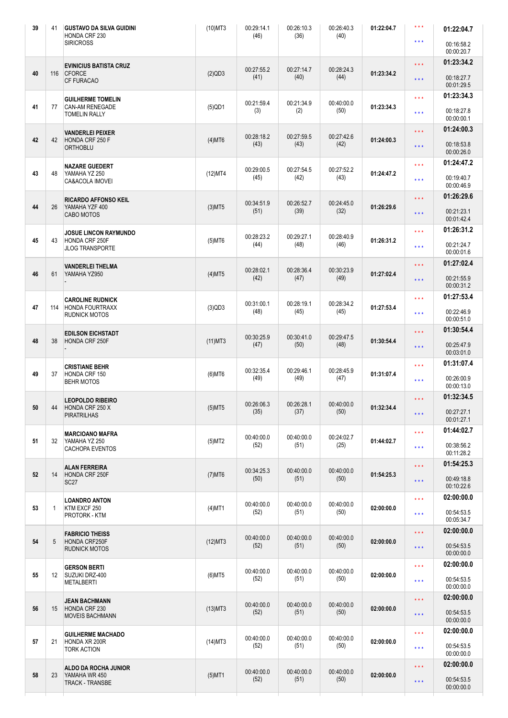| 39     | 41              | <b>GUSTAVO DA SILVA GUIDINI</b><br>HONDA CRF 230           | $(10)$ MT3 | 00:29:14.1<br>(46)                     | 00:26:10.3<br>(36) | 00:26:40.3<br>(40)  | 01:22:04.7 | $***$                   | 01:22:04.7               |
|--------|-----------------|------------------------------------------------------------|------------|----------------------------------------|--------------------|---------------------|------------|-------------------------|--------------------------|
|        |                 | <b>SIRICROSS</b>                                           |            |                                        |                    |                     |            | $***$                   | 00:16:58.2<br>00:00:20.7 |
|        |                 | <b>EVINICIUS BATISTA CRUZ</b>                              |            |                                        |                    | 00:28:24.3          |            | $\star \star \star$     | 01:23:34.2               |
| 40     | 116             | <b>CFORCE</b><br>CF FURACAO                                | (2)QD3     | 00:27:55.2<br>(41)                     | 00:27:14.7<br>(40) | (44)                | 01:23:34.2 | $\star$ $\star$ $\star$ | 00:18:27.7<br>00:01:29.5 |
|        |                 | <b>GUILHERME TOMELIN</b>                                   |            | 00:21:59.4                             | 00:21:34.9         | 00:40:00.0          |            | $\star \star \star$     | 01:23:34.3               |
| 41     | 77              | <b>CAN-AM RENEGADE</b><br><b>TOMELIN RALLY</b>             | $(5)$ QD1  | (3)                                    | (2)                | (50)                | 01:23:34.3 | $\star \star \star$     | 00:18:27.8<br>00:00:00.1 |
|        |                 | <b>VANDERLEI PEIXER</b>                                    |            | 00:28:18.2                             | 00:27:59.5         | 00:27:42.6          |            | * * *                   | 01:24:00.3               |
| 42     | 42              | HONDA CRF 250 F<br><b>ORTHOBLU</b>                         | $(4)$ MT6  | (43)                                   | (43)               | (42)                | 01:24:00.3 | $\star \star \star$     | 00:18:53.8<br>00:00:26.0 |
|        |                 | NAZARE GUEDERT                                             |            | 00:29:00.5                             | 00:27:54.5         | 00:27:52.2          |            | $\star \star \star$     | 01:24:47.2               |
| 43     | 48              | YAMAHA YZ 250<br>CA&ACOLA IMOVEI                           | $(12)$ MT4 | (45)                                   | (42)               | (43)                | 01:24:47.2 | $\star \star \star$     | 00:19:40.7<br>00:00:46.9 |
|        |                 | <b>RICARDO AFFONSO KEIL</b>                                |            | 00:34:51.9                             | 00:26:52.7         | 00:24:45.0          |            | $\star \star \star$     | 01:26:29.6               |
| 44     | 26              | YAMAHA YZF 400<br>CABO MOTOS                               | $(3)$ MT5  | (51)                                   | (39)               | (32)                | 01:26:29.6 | $\star \star \star$     | 00:21:23.1<br>00:01:42.4 |
|        |                 | JOSUE LINCON RAYMUNDO                                      |            | 00:28:23.2                             | 00:29:27.1         | 00:28:40.9          |            | $\star \star \star$     | 01:26:31.2               |
| 45     | 43              | HONDA CRF 250F<br><b>JLOG TRANSPORTE</b>                   | $(5)$ MT6  | (44)                                   | (48)               | (46)                | 01:26:31.2 | $\star \star \star$     | 00:21:24.7<br>00:00:01.6 |
|        |                 | VANDERLEI THELMA                                           |            | 00:28:02.1                             | 00:28:36.4         | 00:30:23.9          |            | $\star \star \star$     | 01:27:02.4               |
| 46     | 61              | YAMAHA YZ950                                               | $(4)$ MT5  | (42)                                   | (47)               | (49)                | 01:27:02.4 | $\star \star \star$     | 00:21:55.9<br>00:00:31.2 |
|        |                 | <b>CAROLINE RUDNICK</b>                                    |            | 00:31:00.1                             | 00:28:19.1         | 00:28:34.2          |            | $\star \star \star$     | 01:27:53.4               |
| 47     | 114             | <b>HONDA FOURTRAXX</b><br><b>RUDNICK MOTOS</b>             | (3)QD3     | (48)                                   | (45)               | (45)                | 01:27:53.4 | $\star$ $\star$ $\star$ | 00:22:46.9<br>00:00:51.0 |
|        |                 | <b>EDILSON EICHSTADT</b>                                   |            | 00:30:25.9                             | 00:30:41.0         | 00:29:47.5          |            | $\star \star \star$     | 01:30:54.4               |
| 48     | 38              | HONDA CRF 250F                                             | $(11)$ MT3 | (47)                                   | (50)               | (48)                | 01:30:54.4 | $\star \star \star$     | 00:25:47.9<br>00:03:01.0 |
|        |                 | <b>CRISTIANE BEHR</b>                                      |            | 00:32:35.4                             | 00:29:46.1         | 00:28:45.9          |            | $\star \star \star$     | 01:31:07.4               |
| 49     | 37              | HONDA CRF 150<br><b>BEHR MOTOS</b>                         | $(6)$ MT6  | (49)                                   | (49)               | (47)                | 01:31:07.4 | $\star \star \star$     | 00:26:00.9<br>00:00:13.0 |
|        |                 | <b>LEOPOLDO RIBEIRO</b>                                    |            | 00:26:06.3                             | 00:26:28.1         | 00:40:00.0          |            | $\star \star \star$     | 01:32:34.5               |
| $50\,$ | 44              | HONDA CRF 250 X<br><b>PIRATRILHAS</b>                      | $(5)$ MT5  | (35)                                   | (37)               | (50)                | 01:32:34.4 | $\star$ $\star$ $\star$ | 00:27:27.1<br>00:01:27.1 |
|        | 32              | <b>MARCIOANO MAFRA</b><br>YAMAHA YZ 250<br>CACHOPA EVENTOS |            | 00:40:00.0                             | 00:40:00.0         | 00:24:02.7          | 01:44:02.7 | $\star \star \star$     | 01:44:02.7               |
| 51     |                 |                                                            | (5)MT2     | (52)                                   | (51)               | (25)                |            | $\star \star \star$     | 00:38:56.2<br>00:11:28.2 |
|        |                 |                                                            |            |                                        |                    |                     |            | $\star$ $\star$ $\star$ | 01:54:25.3               |
| 52     | 14              | <b>ALAN FERREIRA</b><br>HONDA CRF 250F<br><b>SC27</b>      | $(7)$ MT6  | 00:34:25.3<br>(50)                     | 00:40:00.0<br>(51) | 00:40:00.0<br>(50)  | 01:54:25.3 | $\star \star \star$     | 00:49:18.8               |
|        |                 |                                                            |            |                                        |                    |                     |            |                         | 00:10:22.6               |
| 53     | $\mathbf{1}$    | <b>LOANDRO ANTON</b><br>KTM EXCF 250<br>PROTORK - KTM      | $(4)$ MT1  | 00:40:00.0<br>(52)                     | 00:40:00.0<br>(51) | 00:40:00.0<br>(50)  | 02:00:00.0 | $\star \star \star$     | 02:00:00.0               |
|        |                 |                                                            |            |                                        |                    |                     |            | $\star$ $\star$ $\star$ | 00:54:53.5<br>00:05:34.7 |
|        |                 | <b>FABRICIO THEISS</b>                                     |            | 00:40:00.0                             | 00:40:00.0         | 00:40:00.0          |            | $\star \star \star$     | 02:00:00.0               |
| 54     | 5               | HONDA CRF250F<br><b>RUDNICK MOTOS</b>                      | $(12)$ MT3 | (52)                                   | (51)               | (50)                | 02:00:00.0 | $\star$ $\star$ $\star$ | 00:54:53.5<br>00:00:00.0 |
|        |                 | <b>GERSON BERTI</b>                                        |            | 00:40:00.0                             | 00:40:00.0         | 00:40:00.0          |            | $\star$ $\star$ $\star$ | 02:00:00.0               |
| 55     | 12 <sup>°</sup> | SUZUKI DRZ-400<br><b>METALBERTI</b>                        | $(6)$ MT5  | (52)                                   | (51)               | (50)                | 02:00:00.0 | $\star$ $\star$ $\star$ | 00:54:53.5<br>00:00:00.0 |
|        |                 | <b>JEAN BACHMANN</b>                                       |            | 00:40:00.0                             | 00:40:00.0         | 00:40:00.0          |            | $\star$ $\star$ $\star$ | 02:00:00.0               |
| 56     | 15              | HONDA CRF 230<br><b>MOVEIS BACHMANN</b>                    | $(13)$ MT3 | (52)                                   | (51)               | (50)                | 02:00:00.0 | $\star$ $\star$ $\star$ | 00:54:53.5<br>00:00:00.0 |
|        |                 | <b>GUILHERME MACHADO</b>                                   |            | 00:40:00.0                             | 00:40:00.0         | 00:40:00.0          | 02:00:00.0 | $\star \star \star$     | 02:00:00.0               |
| 57     | 21              | HONDA XR 200R<br><b>TORK ACTION</b>                        | $(14)$ MT3 | (52)                                   | (51)               | (50)                |            | $\star$ $\star$ $\star$ | 00:54:53.5<br>00:00:00.0 |
|        |                 | ALDO DA ROCHA JUNIOR                                       |            | 00:40:00.0<br>00:40:00.0<br>00:40:00.0 |                    | $\star \star \star$ | 02:00:00.0 |                         |                          |
| 58     | 23              | YAMAHA WR 450<br><b>TRACK - TRANSBE</b>                    | $(5)$ MT1  | (52)                                   | (51)               | (50)                | 02:00:00.0 | $\star\star\star$       | 00:54:53.5<br>00:00:00.0 |